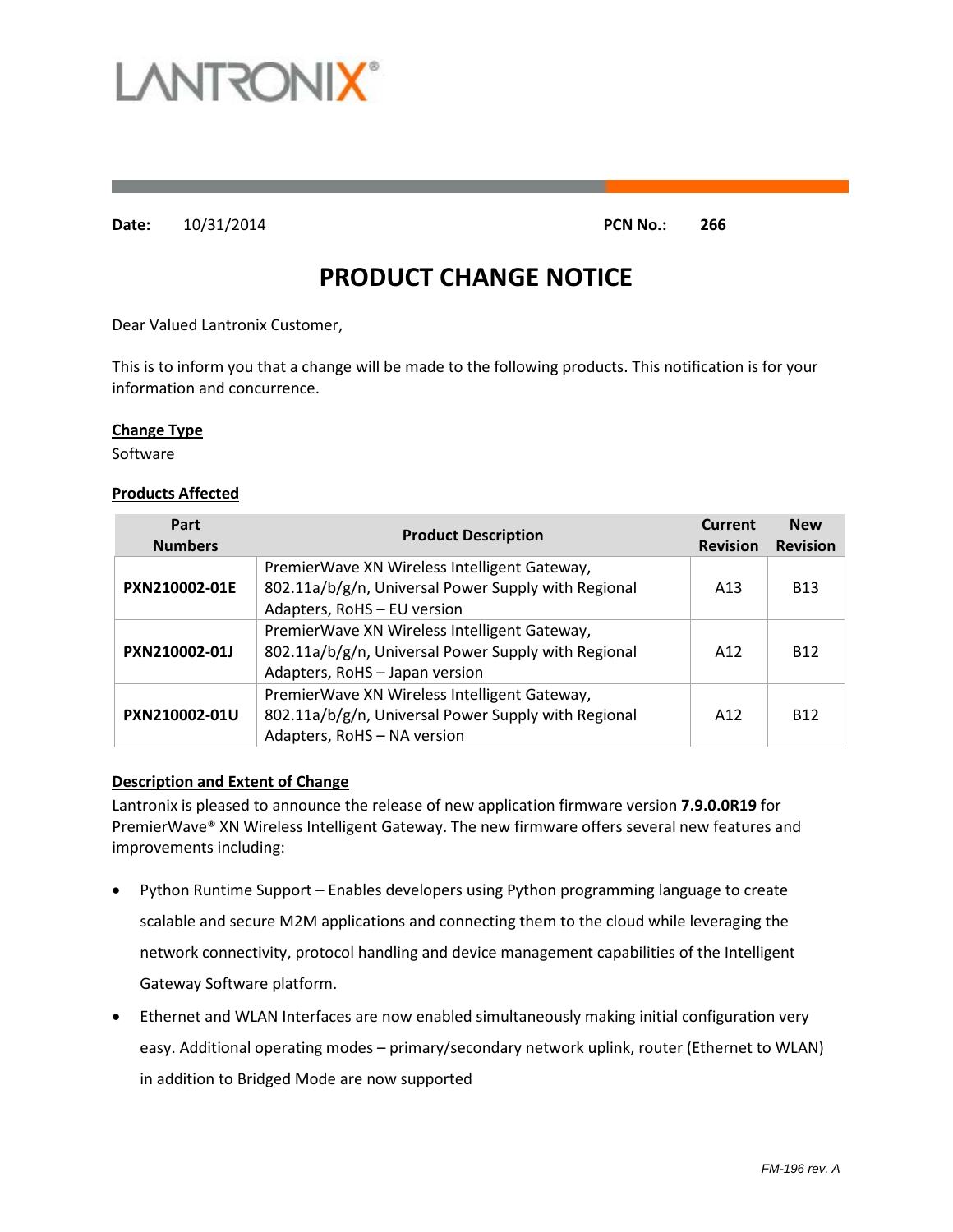

**Date:** 10/31/2014 **PCN No.: 266**

# **PRODUCT CHANGE NOTICE**

Dear Valued Lantronix Customer,

This is to inform you that a change will be made to the following products. This notification is for your information and concurrence.

#### **Change Type**

Software

#### **Products Affected**

| Part<br><b>Numbers</b> | <b>Product Description</b>                                                                                                            | Current<br><b>Revision</b> | <b>New</b><br><b>Revision</b> |
|------------------------|---------------------------------------------------------------------------------------------------------------------------------------|----------------------------|-------------------------------|
| PXN210002-01E          | PremierWave XN Wireless Intelligent Gateway,<br>802.11a/b/g/n, Universal Power Supply with Regional<br>Adapters, RoHS - EU version    | A <sub>13</sub>            | <b>B13</b>                    |
| PXN210002-01J          | PremierWave XN Wireless Intelligent Gateway,<br>802.11a/b/g/n, Universal Power Supply with Regional<br>Adapters, RoHS - Japan version | A12                        | <b>B12</b>                    |
| PXN210002-01U          | PremierWave XN Wireless Intelligent Gateway,<br>802.11a/b/g/n, Universal Power Supply with Regional<br>Adapters, RoHS - NA version    | A12                        | <b>B12</b>                    |

#### **Description and Extent of Change**

Lantronix is pleased to announce the release of new application firmware version **7.9.0.0R19** for PremierWave® XN Wireless Intelligent Gateway. The new firmware offers several new features and improvements including:

- Python Runtime Support Enables developers using Python programming language to create scalable and secure M2M applications and connecting them to the cloud while leveraging the network connectivity, protocol handling and device management capabilities of the Intelligent Gateway Software platform.
- Ethernet and WLAN Interfaces are now enabled simultaneously making initial configuration very easy. Additional operating modes – primary/secondary network uplink, router (Ethernet to WLAN) in addition to Bridged Mode are now supported